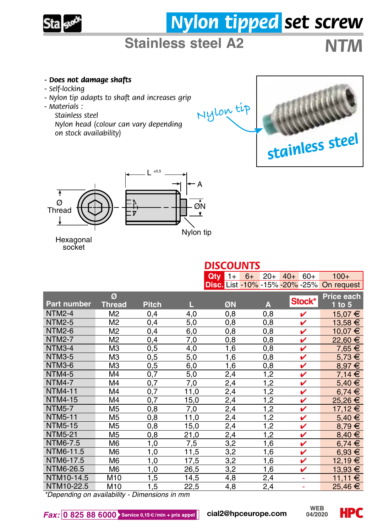

# *Nylon tipped set screw*

## **Stainless steel A2** *NTM*

#### *- Does not damage shafts*

- *Self-locking*
- *Nylon tip adapts to shaft and increases grip*
- *Materials :* 
	- *Stainless steel*

*Nylon head (colour can vary depending on stock availability)*





Hexagonal socket

|                                               |                |              |      | $Qtv$ 1+ | $6+$<br>$20+$ | $40+$<br>$60+$                 | $100+$      |
|-----------------------------------------------|----------------|--------------|------|----------|---------------|--------------------------------|-------------|
|                                               |                |              |      |          |               | Disc. List -10% -15% -20% -25% | On request  |
|                                               | Ø              |              |      |          |               |                                | Price each  |
| <b>Part number</b>                            | <b>Thread</b>  | <b>Pitch</b> | L    | ØN       | A             | Stock*                         | $1$ to $5$  |
| <b>NTM2-4</b>                                 | M <sub>2</sub> | 0,4          | 4,0  | 0.8      | 0,8           | v                              | 15,07 €     |
| <b>NTM2-5</b>                                 | M <sub>2</sub> | 0,4          | 5,0  | 0,8      | 0,8           | v                              | 13,58 €     |
| <b>NTM2-6</b>                                 | M <sub>2</sub> | 0,4          | 6,0  | 0,8      | 0,8           | v                              | 10,07 €     |
| <b>NTM2-7</b>                                 | M2             | 0,4          | 7,0  | 0,8      | 0,8           | v                              | 22,60 €     |
| NTM3-4                                        | MЗ             | 0,5          | 4,0  | 1,6      | 0,8           | v                              | $7,65 \in$  |
| <b>NTM3-5</b>                                 | ΜЗ             | 0,5          | 5,0  | 1,6      | 0,8           | v                              | $5,73 \in$  |
| NTM3-6                                        | MЗ             | 0,5          | 6,0  | 1,6      | 0,8           | V                              | $8.97 \in$  |
| <b>NTM4-5</b>                                 | M <sub>4</sub> | 0,7          | 5,0  | 2,4      | 1,2           | v                              | $7,14 \in$  |
| <b>NTM4-7</b>                                 | M4             | 0,7          | 7,0  | 2,4      | 1,2           | v                              | $5,40 \in$  |
| <b>NTM4-11</b>                                | M4             | 0,7          | 11,0 | 2,4      | 1,2           | v                              | $6,74 \in$  |
| <b>NTM4-15</b>                                | M4             | 0,7          | 15,0 | 2,4      | 1,2           | v                              | 25,26 €     |
| <b>NTM5-7</b>                                 | M <sub>5</sub> | 0,8          | 7,0  | 2,4      | 1,2           | v                              | 17,12 €     |
| <b>NTM5-11</b>                                | M <sub>5</sub> | 0,8          | 11,0 | 2,4      | 1,2           | v                              | 5,40 €      |
| <b>NTM5-15</b>                                | M <sub>5</sub> | 0,8          | 15,0 | 2,4      | 1,2           | V                              | $8,79 \in$  |
| <b>NTM5-21</b>                                | M <sub>5</sub> | 0,8          | 21,0 | 2,4      | 1,2           | v                              | $8,40 \in$  |
| NTM6-7.5                                      | M <sub>6</sub> | 1.0          | 7,5  | 3,2      | 1,6           | v                              | $6,74 \in$  |
| NTM6-11.5                                     | M <sub>6</sub> | 1.0          | 11,5 | 3,2      | 1,6           | v                              | $6,93 \in$  |
| NTM6-17.5                                     | M <sub>6</sub> | 1,0          | 17,5 | 3,2      | 1,6           | v                              | 12,19 €     |
| NTM6-26.5                                     | M <sub>6</sub> | 1.0          | 26,5 | 3,2      | 1,6           | v                              | 13,93 €     |
| NTM10-14.5                                    | M10            | 1,5          | 14,5 | 4,8      | 2,4           | ä,                             | $11,11 \in$ |
| NTM10-22.5                                    | M10            | 1.5          | 22,5 | 4,8      | 2,4           | ÷                              | 25,46 €     |
| *Denending on availability - Dimensions in mm |                |              |      |          |               |                                |             |

*DISCOUNTS*

*\*Depending on availability - Dimensions in mm*